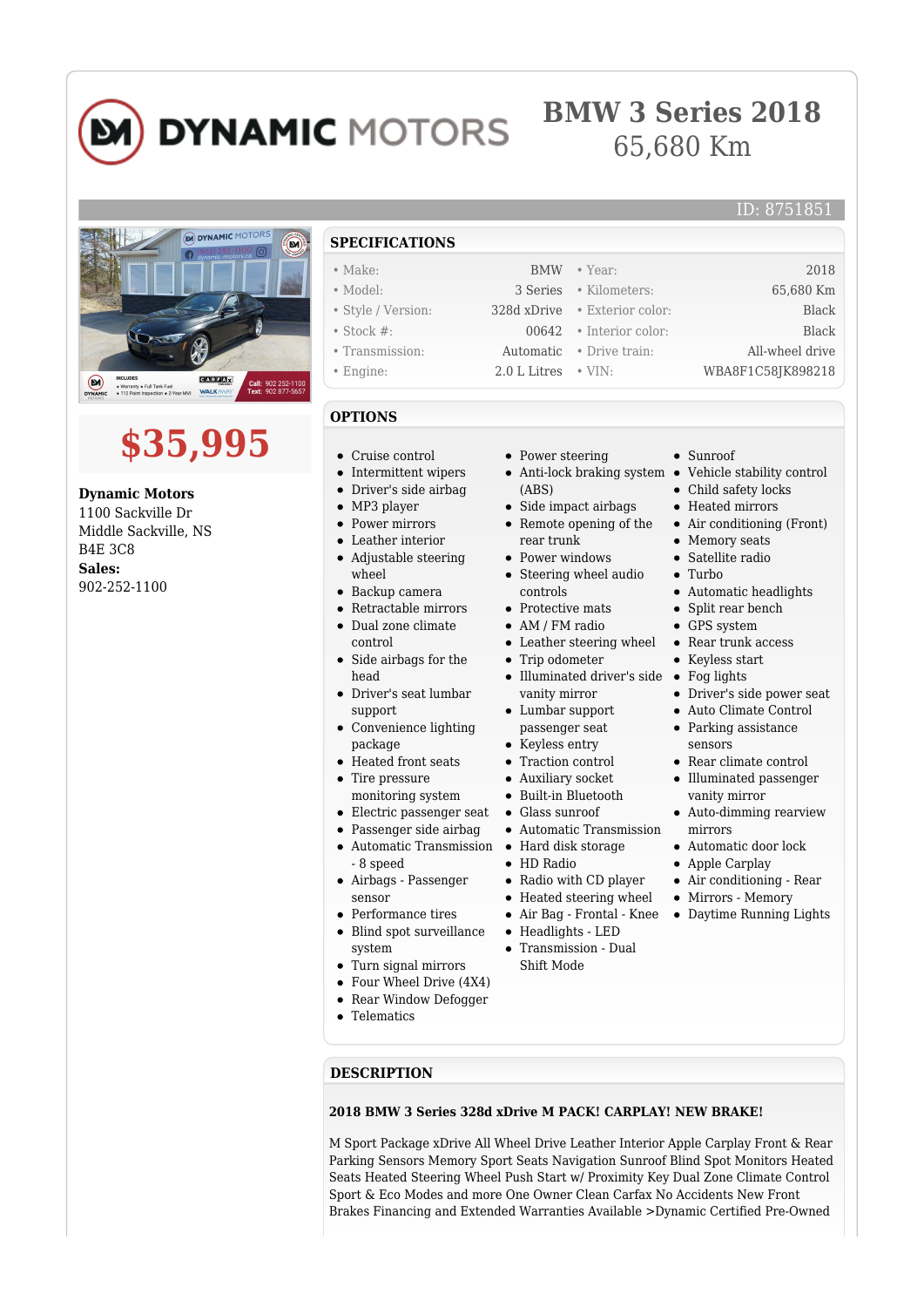

### **BMW 3 Series 2018** 65,680 Km

# MONAMIC MOTORS  $\widehat{\mathbf{M}}$

## **\$35,995**

**Dynamic Motors** 1100 Sackville Dr Middle Sackville, NS B4E 3C8 **Sales:** 902-252-1100

#### **SPECIFICATIONS**

- Make: BMW Year: 2018
- Model: 3 Series Kilometers: 65,680 Km
- Style / Version: 328d xDrive Exterior color: Black
- Stock #: 00642 Interior color: Black
- Transmission: Automatic Drive train: All-wheel drive
- Engine: 2.0 L Litres VIN: WBA8F1C58JK898218

#### **OPTIONS**

- Cruise control
- Intermittent wipers
- Driver's side airbag  $\bullet$
- $\blacksquare$ MP3 player
- $\bullet$ Power mirrors
- Leather interior
- Adjustable steering  $\bullet$ wheel
- $\blacksquare$ Backup camera
- $\bullet$ Retractable mirrors
- Dual zone climate  $\blacksquare$ control
- Side airbags for the  $\bullet$
- head
- Driver's seat lumbar support
- Convenience lighting package
- Heated front seats • Tire pressure
- monitoring system
- Electric passenger seat
- Passenger side airbag  $\bullet$ Automatic Transmission  $\bullet$
- 8 speed Airbags - Passenger sensor
- Performance tires
- Blind spot surveillance system
- Turn signal mirrors
- Four Wheel Drive (4X4)  $\bullet$
- Rear Window Defogger
- Telematics
- 
- 

**DESCRIPTION**

- Power steering
- Anti-lock braking system Vehicle stability control (ABS)
- Side impact airbags
- Remote opening of the rear trunk
- Power windows
- Steering wheel audio controls
- $\bullet$  Protective mats
- AM / FM radio
- Leather steering wheel
- Trip odometer
- Illuminated driver's side Fog lights vanity mirror
- Lumbar support passenger seat
- Keyless entry
- Traction control
- Auxiliary socket
- Built-in Bluetooth
- Glass sunroof
	- Automatic Transmission
	- Hard disk storage
	- HD Radio
	- Radio with CD player
	- Heated steering wheel
	- Air Bag Frontal Knee  $\bullet$
	- $\bullet$ Headlights - LED
	- Transmission Dual Shift Mode

• Child safety locks

 $\epsilon$  Sunroof

- Heated mirrors
- Air conditioning (Front)

ID: 8751851

- Memory seats
- Satellite radio
- Turbo
- Automatic headlights  $\bullet$
- $\bullet$ Split rear bench
- GPS system
- Rear trunk access
- Keyless start
- 
- Driver's side power seat
- Auto Climate Control
- Parking assistance sensors
- Rear climate control
- Illuminated passenger vanity mirror
- Auto-dimming rearview mirrors
- Automatic door lock
- Apple Carplay
- Air conditioning Rear
- Mirrors Memory
	- Daytime Running Lights

**2018 BMW 3 Series 328d xDrive M PACK! CARPLAY! NEW BRAKE!**

M Sport Package xDrive All Wheel Drive Leather Interior Apple Carplay Front & Rear Parking Sensors Memory Sport Seats Navigation Sunroof Blind Spot Monitors Heated Seats Heated Steering Wheel Push Start w/ Proximity Key Dual Zone Climate Control Sport & Eco Modes and more One Owner Clean Carfax No Accidents New Front Brakes Financing and Extended Warranties Available >Dynamic Certified Pre-Owned